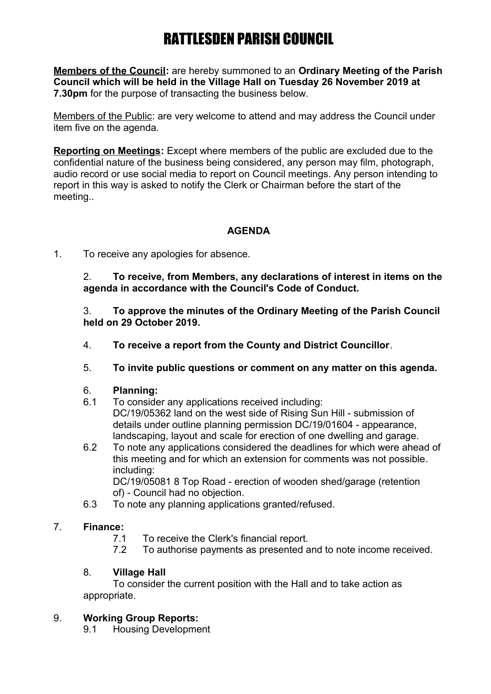**Members of the Council:** are hereby summoned to an **Ordinary Meeting of the Parish Council which will be held in the Village Hall on Tuesday 26 November 2019 at 7.30pm** for the purpose of transacting the business below.

Members of the Public: are very welcome to attend and may address the Council under item five on the agenda.

**Reporting on Meetings:** Except where members of the public are excluded due to the confidential nature of the business being considered, any person may film, photograph, audio record or use social media to report on Council meetings. Any person intending to report in this way is asked to notify the Clerk or Chairman before the start of the meeting..

## **AGENDA**

1. To receive any apologies for absence.

2. **To receive, from Members, any declarations of interest in items on the agenda in accordance with the Council's Code of Conduct.**

3. **To approve the minutes of the Ordinary Meeting of the Parish Council held on 29 October 2019.**

- 4. **To receive a report from the County and District Councillor**.
- 5. **To invite public questions or comment on any matter on this agenda.**

#### 6. **Planning:**

- 6.1 To consider any applications received including: DC/19/05362 land on the west side of Rising Sun Hill - submission of details under outline planning permission DC/19/01604 - appearance, landscaping, layout and scale for erection of one dwelling and garage.
- 6.2 To note any applications considered the deadlines for which were ahead of this meeting and for which an extension for comments was not possible. including: DC/19/05081 8 Top Road - erection of wooden shed/garage (retention

of) - Council had no objection.

6.3 To note any planning applications granted/refused.

### 7. **Finance:**

- 7.1 To receive the Clerk's financial report.
- 7.2 To authorise payments as presented and to note income received.

#### 8. **Village Hall**

To consider the current position with the Hall and to take action as appropriate.

### 9. **Working Group Reports:**

9.1 Housing Development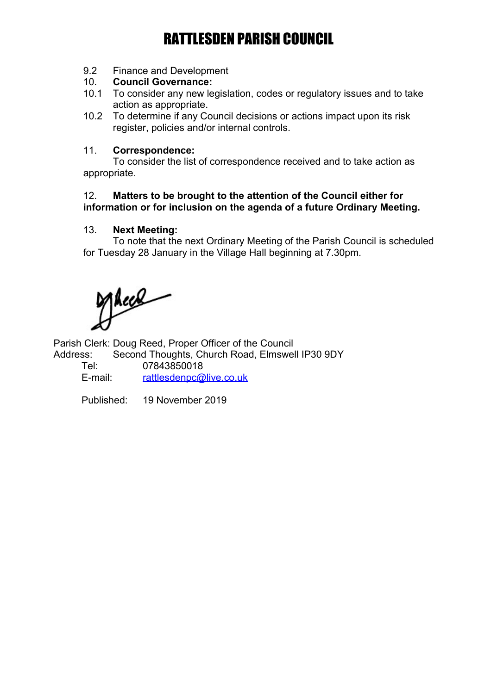- 9.2 Finance and Development
- 10. **Council Governance:**
- 10.1 To consider any new legislation, codes or regulatory issues and to take action as appropriate.
- 10.2 To determine if any Council decisions or actions impact upon its risk register, policies and/or internal controls.

#### 11. **Correspondence:**

To consider the list of correspondence received and to take action as appropriate.

#### 12. **Matters to be brought to the attention of the Council either for information or for inclusion on the agenda of a future Ordinary Meeting.**

#### 13. **Next Meeting:**

To note that the next Ordinary Meeting of the Parish Council is scheduled for Tuesday 28 January in the Village Hall beginning at 7.30pm.

Meas

Parish Clerk: Doug Reed, Proper Officer of the Council Address: Second Thoughts, Church Road, Elmswell IP30 9DY Tel: 07843850018

E-mail: [rattlesdenpc@live.co.uk](mailto:rattlesdenpc@live.co.uk)

Published: 19 November 2019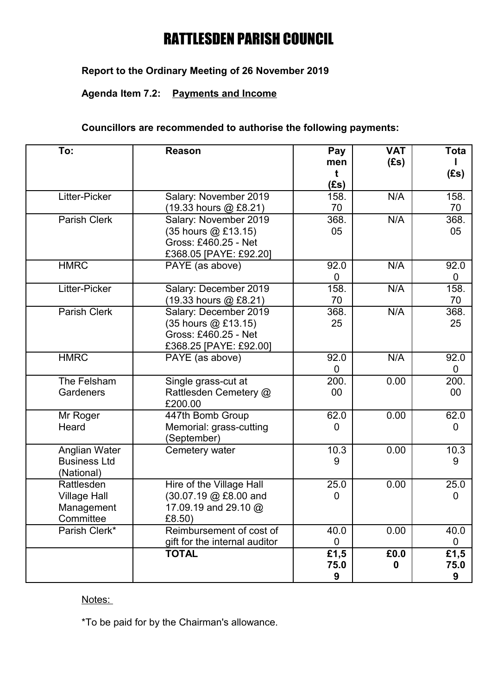## **Report to the Ordinary Meeting of 26 November 2019**

## **Agenda Item 7.2: Payments and Income**

### **Councillors are recommended to authorise the following payments:**

| To:                                                          | <b>Reason</b>                                                                                  | Pay<br>men               | <b>VAT</b><br>(Es) | <b>Tota</b>              |
|--------------------------------------------------------------|------------------------------------------------------------------------------------------------|--------------------------|--------------------|--------------------------|
|                                                              |                                                                                                | t<br>(Es)                |                    | (Es)                     |
| Litter-Picker                                                | Salary: November 2019<br>(19.33 hours @ £8.21)                                                 | 158.<br>70               | N/A                | 158.<br>70               |
| <b>Parish Clerk</b>                                          | Salary: November 2019<br>(35 hours @ £13.15)<br>Gross: £460.25 - Net<br>£368.05 [PAYE: £92.20] | 368.<br>05               | N/A                | 368.<br>05               |
| <b>HMRC</b>                                                  | PAYE (as above)                                                                                | 92.0<br>0                | N/A                | 92.0<br>$\mathbf 0$      |
| Litter-Picker                                                | Salary: December 2019<br>(19.33 hours @ £8.21)                                                 | 158.<br>70               | N/A                | 158.<br>70               |
| <b>Parish Clerk</b>                                          | Salary: December 2019<br>(35 hours @ £13.15)<br>Gross: £460.25 - Net<br>£368.25 [PAYE: £92.00] | 368.<br>25               | N/A                | 368.<br>25               |
| <b>HMRC</b>                                                  | PAYE (as above)                                                                                | 92.0<br>0                | N/A                | 92.0<br>0                |
| The Felsham<br>Gardeners                                     | Single grass-cut at<br>Rattlesden Cemetery @<br>£200.00                                        | 200.<br>00               | 0.00               | 200.<br>00               |
| Mr Roger<br>Heard                                            | 447th Bomb Group<br>Memorial: grass-cutting<br>(September)                                     | 62.0<br>$\mathbf 0$      | 0.00               | 62.0<br>$\mathbf 0$      |
| Anglian Water<br><b>Business Ltd</b><br>(National)           | Cemetery water                                                                                 | 10.3<br>9                | 0.00               | 10.3<br>9                |
| Rattlesden<br><b>Village Hall</b><br>Management<br>Committee | Hire of the Village Hall<br>(30.07.19 @ £8.00 and<br>17.09.19 and 29.10 @<br>£8.50)            | 25.0<br>0                | 0.00               | 25.0<br>0                |
| Parish Clerk*                                                | Reimbursement of cost of<br>gift for the internal auditor                                      | 40.0<br>$\boldsymbol{0}$ | 0.00               | 40.0<br>$\boldsymbol{0}$ |
|                                                              | <b>TOTAL</b>                                                                                   | £1,5<br>75.0<br>9        | £0.0<br>0          | £1,5<br>75.0<br>9        |

Notes:

\*To be paid for by the Chairman's allowance.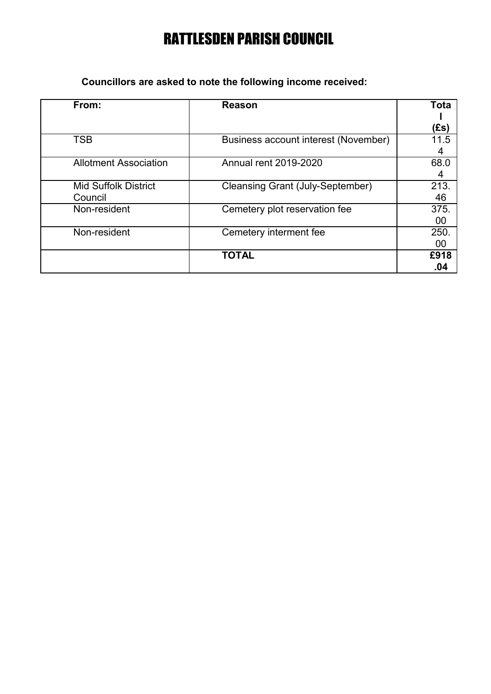**Councillors are asked to note the following income received:**

| From:                                  | <b>Reason</b>                           | Tota<br>(£s) |
|----------------------------------------|-----------------------------------------|--------------|
| TSB                                    | Business account interest (November)    | 11.5<br>4    |
| <b>Allotment Association</b>           | <b>Annual rent 2019-2020</b>            | 68.0<br>4    |
| <b>Mid Suffolk District</b><br>Council | <b>Cleansing Grant (July-September)</b> | 213.<br>46   |
| Non-resident                           | Cemetery plot reservation fee           | 375.<br>00   |
| Non-resident                           | Cemetery interment fee                  | 250.<br>00   |
|                                        | <b>TOTAL</b>                            | £918<br>.04  |